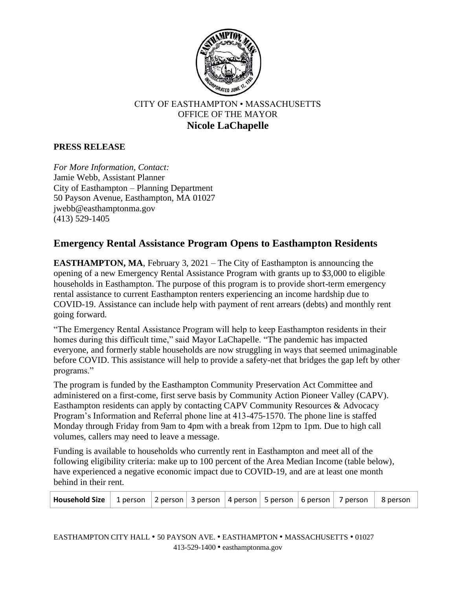

## CITY OF EASTHAMPTON • MASSACHUSETTS OFFICE OF THE MAYOR **Nicole LaChapelle**

## **PRESS RELEASE**

*For More Information, Contact:* Jamie Webb, Assistant Planner City of Easthampton – Planning Department 50 Payson Avenue, Easthampton, MA 01027 jwebb@easthamptonma.gov (413) 529-1405

## **Emergency Rental Assistance Program Opens to Easthampton Residents**

**EASTHAMPTON, MA**, February 3, 2021 – The City of Easthampton is announcing the opening of a new Emergency Rental Assistance Program with grants up to \$3,000 to eligible households in Easthampton. The purpose of this program is to provide short-term emergency rental assistance to current Easthampton renters experiencing an income hardship due to COVID-19. Assistance can include help with payment of rent arrears (debts) and monthly rent going forward.

"The Emergency Rental Assistance Program will help to keep Easthampton residents in their homes during this difficult time," said Mayor LaChapelle. "The pandemic has impacted everyone, and formerly stable households are now struggling in ways that seemed unimaginable before COVID. This assistance will help to provide a safety-net that bridges the gap left by other programs."

The program is funded by the Easthampton Community Preservation Act Committee and administered on a first-come, first serve basis by Community Action Pioneer Valley (CAPV). Easthampton residents can apply by contacting CAPV Community Resources & Advocacy Program's Information and Referral phone line at 413-475-1570. The phone line is staffed Monday through Friday from 9am to 4pm with a break from 12pm to 1pm. Due to high call volumes, callers may need to leave a message.

Funding is available to households who currently rent in Easthampton and meet all of the following eligibility criteria: make up to 100 percent of the Area Median Income (table below), have experienced a negative economic impact due to COVID-19, and are at least one month behind in their rent.

| <b>Household Size</b>   1 person   2 person   3 person   4 person   5 person   6 person   7 person |  |  |  |  |  |  |  | $\vert$ 8 person |
|----------------------------------------------------------------------------------------------------|--|--|--|--|--|--|--|------------------|
|----------------------------------------------------------------------------------------------------|--|--|--|--|--|--|--|------------------|